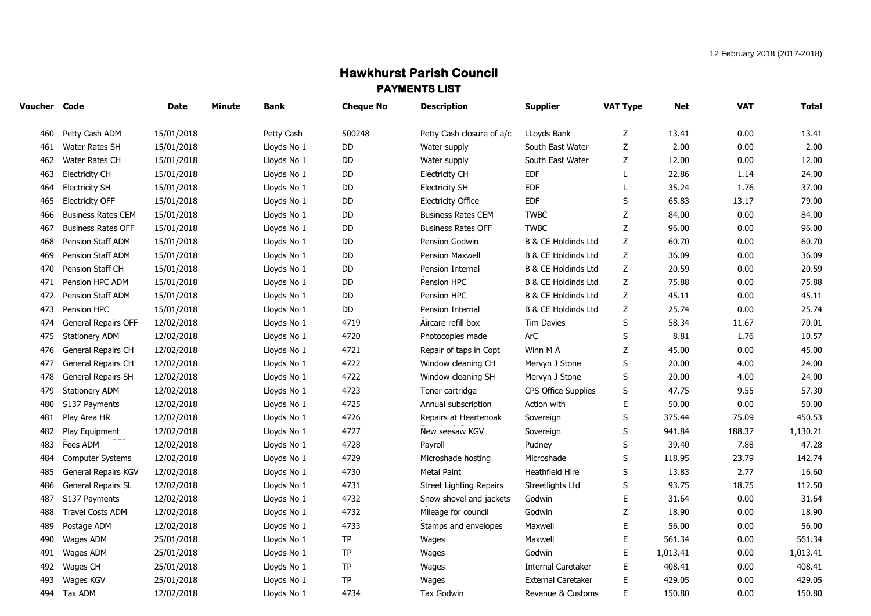## **Hawkhurst Parish Council PAYMENTS LIST**

| Voucher Code |                           | Date       | <b>Minute</b> | <b>Bank</b> | <b>Cheque No</b> | <b>Description</b>             | <b>Supplier</b>                | <b>VAT Type</b> | Net      | <b>VAT</b> | <b>Total</b> |
|--------------|---------------------------|------------|---------------|-------------|------------------|--------------------------------|--------------------------------|-----------------|----------|------------|--------------|
| 460          | Petty Cash ADM            | 15/01/2018 |               | Petty Cash  | 500248           | Petty Cash closure of a/c      | LLoyds Bank                    | Z               | 13.41    | 0.00       | 13.41        |
| 461          | Water Rates SH            | 15/01/2018 |               | Lloyds No 1 | DD               | Water supply                   | South East Water               | Z               | 2.00     | 0.00       | 2.00         |
| 462          | Water Rates CH            | 15/01/2018 |               | Lloyds No 1 | <b>DD</b>        | Water supply                   | South East Water               | Z               | 12.00    | 0.00       | 12.00        |
| 463          | <b>Electricity CH</b>     | 15/01/2018 |               | Lloyds No 1 | DD               | <b>Electricity CH</b>          | <b>EDF</b>                     | L               | 22.86    | 1.14       | 24.00        |
| 464          | <b>Electricity SH</b>     | 15/01/2018 |               | Lloyds No 1 | DD               | <b>Electricity SH</b>          | <b>EDF</b>                     |                 | 35.24    | 1.76       | 37.00        |
| 465          | <b>Electricity OFF</b>    | 15/01/2018 |               | Lloyds No 1 | DD               | <b>Electricity Office</b>      | <b>EDF</b>                     | S               | 65.83    | 13.17      | 79.00        |
| 466          | <b>Business Rates CEM</b> | 15/01/2018 |               | Lloyds No 1 | DD               | <b>Business Rates CEM</b>      | <b>TWBC</b>                    | $\mathsf Z$     | 84.00    | 0.00       | 84.00        |
| 467          | <b>Business Rates OFF</b> | 15/01/2018 |               | Lloyds No 1 | DD               | <b>Business Rates OFF</b>      | <b>TWBC</b>                    | $\mathsf Z$     | 96.00    | 0.00       | 96.00        |
| 468          | Pension Staff ADM         | 15/01/2018 |               | Lloyds No 1 | DD               | Pension Godwin                 | <b>B &amp; CE Holdinds Ltd</b> | Z               | 60.70    | 0.00       | 60.70        |
| 469          | Pension Staff ADM         | 15/01/2018 |               | Lloyds No 1 | DD               | <b>Pension Maxwell</b>         | <b>B &amp; CE Holdinds Ltd</b> | $\mathsf Z$     | 36.09    | 0.00       | 36.09        |
| 470          | Pension Staff CH          | 15/01/2018 |               | Lloyds No 1 | DD               | Pension Internal               | <b>B &amp; CE Holdinds Ltd</b> | Z               | 20.59    | 0.00       | 20.59        |
| 471          | Pension HPC ADM           | 15/01/2018 |               | Lloyds No 1 | DD               | Pension HPC                    | <b>B &amp; CE Holdinds Ltd</b> | $\mathsf Z$     | 75.88    | 0.00       | 75.88        |
| 472          | Pension Staff ADM         | 15/01/2018 |               | Lloyds No 1 | DD               | Pension HPC                    | B & CE Holdinds Ltd            | $\mathsf Z$     | 45.11    | 0.00       | 45.11        |
| 473          | Pension HPC               | 15/01/2018 |               | Lloyds No 1 | DD               | Pension Internal               | <b>B &amp; CE Holdinds Ltd</b> | $\mathsf Z$     | 25.74    | 0.00       | 25.74        |
| 474          | General Repairs OFF       | 12/02/2018 |               | Lloyds No 1 | 4719             | Aircare refill box             | <b>Tim Davies</b>              | S               | 58.34    | 11.67      | 70.01        |
| 475          | <b>Stationery ADM</b>     | 12/02/2018 |               | Lloyds No 1 | 4720             | Photocopies made               | ArC                            | S               | 8.81     | 1.76       | 10.57        |
| 476          | General Repairs CH        | 12/02/2018 |               | Lloyds No 1 | 4721             | Repair of taps in Copt         | Winn M A                       | Z               | 45.00    | 0.00       | 45.00        |
| 477          | General Repairs CH        | 12/02/2018 |               | Lloyds No 1 | 4722             | Window cleaning CH             | Mervyn J Stone                 | S               | 20.00    | 4.00       | 24.00        |
| 478          | General Repairs SH        | 12/02/2018 |               | Lloyds No 1 | 4722             | Window cleaning SH             | Mervyn J Stone                 | S               | 20.00    | 4.00       | 24.00        |
| 479          | Stationery ADM            | 12/02/2018 |               | Lloyds No 1 | 4723             | Toner cartridge                | CPS Office Supplies            | S               | 47.75    | 9.55       | 57.30        |
| 480          | S137 Payments             | 12/02/2018 |               | Lloyds No 1 | 4725             | Annual subscription            | Action with                    | Е               | 50.00    | 0.00       | 50.00        |
| 481          | Play Area HR              | 12/02/2018 |               | Lloyds No 1 | 4726             | Repairs at Heartenoak          | Sovereign                      | $\sf S$         | 375.44   | 75.09      | 450.53       |
| 482          | Play Equipment            | 12/02/2018 |               | Lloyds No 1 | 4727             | New seesaw KGV                 | Sovereign                      | S               | 941.84   | 188.37     | 1,130.21     |
| 483          | Fees ADM                  | 12/02/2018 |               | Lloyds No 1 | 4728             | Payroll                        | Pudney                         | S               | 39.40    | 7.88       | 47.28        |
| 484          | Computer Systems          | 12/02/2018 |               | Lloyds No 1 | 4729             | Microshade hosting             | Microshade                     | S               | 118.95   | 23.79      | 142.74       |
| 485          | General Repairs KGV       | 12/02/2018 |               | Lloyds No 1 | 4730             | <b>Metal Paint</b>             | Heathfield Hire                | S               | 13.83    | 2.77       | 16.60        |
| 486          | <b>General Repairs SL</b> | 12/02/2018 |               | Lloyds No 1 | 4731             | <b>Street Lighting Repairs</b> | Streetlights Ltd               | S               | 93.75    | 18.75      | 112.50       |
| 487          | S137 Payments             | 12/02/2018 |               | Lloyds No 1 | 4732             | Snow shovel and jackets        | Godwin                         | Е               | 31.64    | 0.00       | 31.64        |
| 488          | <b>Travel Costs ADM</b>   | 12/02/2018 |               | Lloyds No 1 | 4732             | Mileage for council            | Godwin                         | Z               | 18.90    | 0.00       | 18.90        |
| 489          | Postage ADM               | 12/02/2018 |               | Lloyds No 1 | 4733             | Stamps and envelopes           | Maxwell                        | E               | 56.00    | 0.00       | 56.00        |
| 490          | Wages ADM                 | 25/01/2018 |               | Lloyds No 1 | TP               | Wages                          | Maxwell                        | E               | 561.34   | 0.00       | 561.34       |
| 491          | Wages ADM                 | 25/01/2018 |               | Lloyds No 1 | TP               | Wages                          | Godwin                         | E               | 1,013.41 | 0.00       | 1,013.41     |
| 492          | Wages CH                  | 25/01/2018 |               | Lloyds No 1 | TP               | Wages                          | <b>Internal Caretaker</b>      | E               | 408.41   | 0.00       | 408.41       |
| 493          | Wages KGV                 | 25/01/2018 |               | Lloyds No 1 | <b>TP</b>        | Wages                          | <b>External Caretaker</b>      | E               | 429.05   | 0.00       | 429.05       |
|              | 494 Tax ADM               | 12/02/2018 |               | Lloyds No 1 | 4734             | <b>Tax Godwin</b>              | Revenue & Customs              | E               | 150.80   | 0.00       | 150.80       |